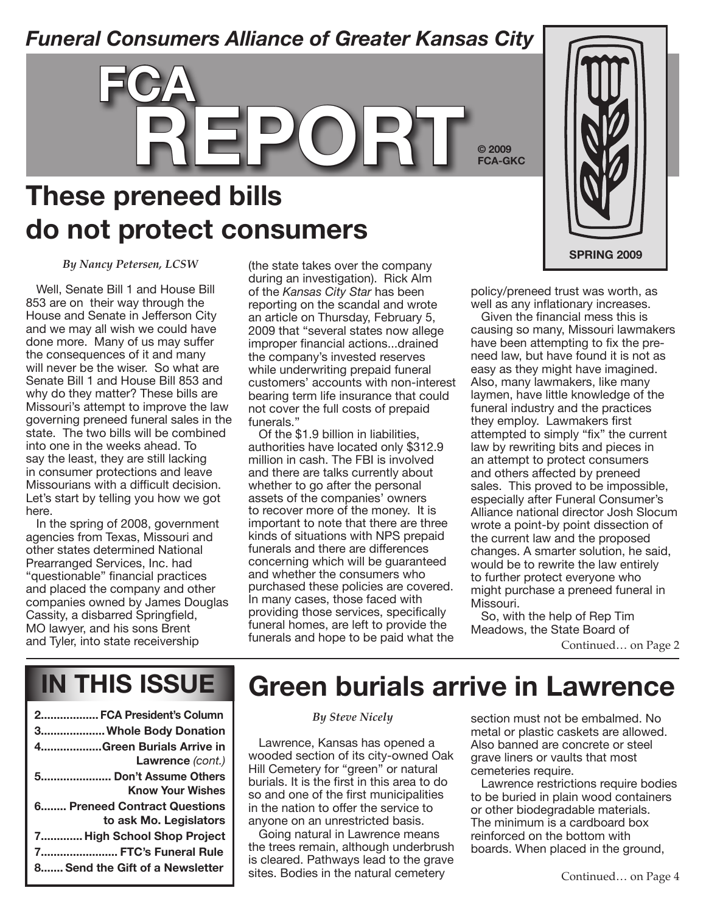### *Funeral Consumers Alliance of Greater Kansas City*



### **These preneed bills do not protect consumers**

*By Nancy Petersen, LCSW*

Well, Senate Bill 1 and House Bill 853 are on their way through the House and Senate in Jefferson City and we may all wish we could have done more. Many of us may suffer the consequences of it and many will never be the wiser. So what are Senate Bill 1 and House Bill 853 and why do they matter? These bills are Missouri's attempt to improve the law governing preneed funeral sales in the state. The two bills will be combined into one in the weeks ahead. To say the least, they are still lacking in consumer protections and leave Missourians with a difficult decision. Let's start by telling you how we got here.

In the spring of 2008, government agencies from Texas, Missouri and other states determined National Prearranged Services, Inc. had "questionable" financial practices and placed the company and other companies owned by James Douglas Cassity, a disbarred Springfield, MO lawyer, and his sons Brent and Tyler, into state receivership

(the state takes over the company during an investigation). Rick Alm of the *Kansas City Star* has been reporting on the scandal and wrote an article on Thursday, February 5, 2009 that "several states now allege improper financial actions...drained the company's invested reserves while underwriting prepaid funeral customers' accounts with non-interest bearing term life insurance that could not cover the full costs of prepaid funerals."

Of the \$1.9 billion in liabilities, authorities have located only \$312.9 million in cash. The FBI is involved and there are talks currently about whether to go after the personal assets of the companies' owners to recover more of the money. It is important to note that there are three kinds of situations with NPS prepaid funerals and there are differences concerning which will be guaranteed and whether the consumers who purchased these policies are covered. In many cases, those faced with providing those services, specifically funeral homes, are left to provide the funerals and hope to be paid what the



policy/preneed trust was worth, as well as any inflationary increases.

**© 2009 FCA-GKC**

Given the financial mess this is causing so many, Missouri lawmakers have been attempting to fix the preneed law, but have found it is not as easy as they might have imagined. Also, many lawmakers, like many laymen, have little knowledge of the funeral industry and the practices they employ. Lawmakers first attempted to simply "fix" the current law by rewriting bits and pieces in an attempt to protect consumers and others affected by preneed sales. This proved to be impossible, especially after Funeral Consumer's Alliance national director Josh Slocum wrote a point-by point dissection of the current law and the proposed changes. A smarter solution, he said, would be to rewrite the law entirely to further protect everyone who might purchase a preneed funeral in Missouri.

So, with the help of Rep Tim Meadows, the State Board of

Continued… on Page 2

# **in this issue**

| 2 FCA President's Column                               |
|--------------------------------------------------------|
| 3 Whole Body Donation                                  |
| 4Green Burials Arrive in<br>Lawrence (cont.)           |
| 5 Don't Assume Others<br><b>Know Your Wishes</b>       |
| 6 Preneed Contract Questions<br>to ask Mo. Legislators |
| 7 High School Shop Project                             |
| 7 FTC's Funeral Rule                                   |
| 8 Send the Gift of a Newsletter                        |
|                                                        |

### **Green burials arrive in Lawrence**

#### *By Steve Nicely*

Lawrence, Kansas has opened a wooded section of its city-owned Oak Hill Cemetery for "green" or natural burials. It is the first in this area to do so and one of the first municipalities in the nation to offer the service to anyone on an unrestricted basis.

Going natural in Lawrence means the trees remain, although underbrush is cleared. Pathways lead to the grave sites. Bodies in the natural cemetery

section must not be embalmed. No metal or plastic caskets are allowed. Also banned are concrete or steel grave liners or vaults that most cemeteries require.

Lawrence restrictions require bodies to be buried in plain wood containers or other biodegradable materials. The minimum is a cardboard box reinforced on the bottom with boards. When placed in the ground,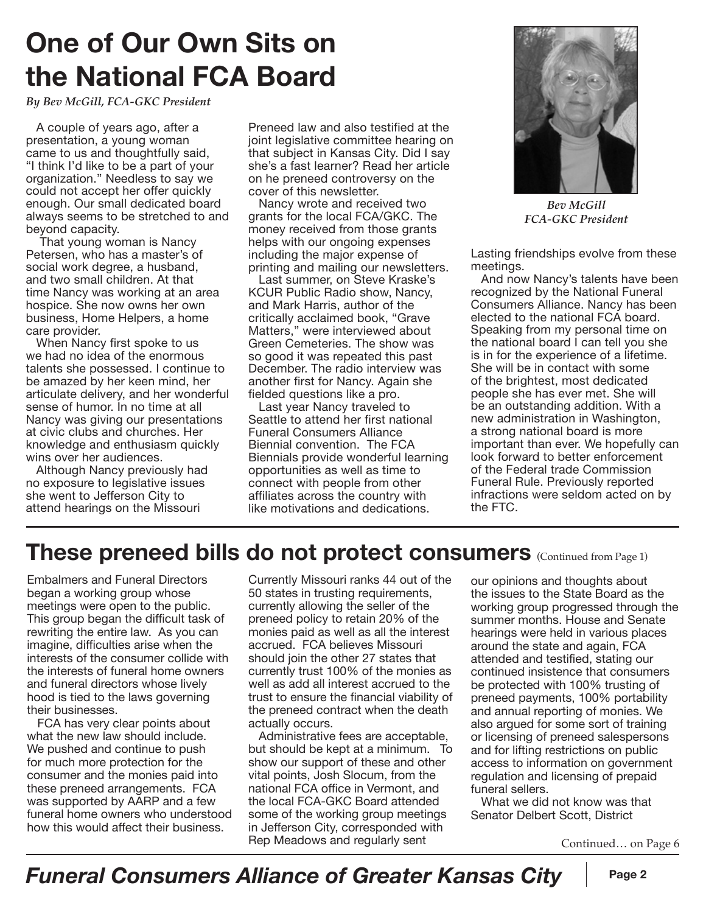# **One of Our Own Sits on the National FCA Board**

*By Bev McGill, FCA-GKC President*

A couple of years ago, after a presentation, a young woman came to us and thoughtfully said, "I think I'd like to be a part of your organization." Needless to say we could not accept her offer quickly enough. Our small dedicated board always seems to be stretched to and beyond capacity.

That young woman is Nancy Petersen, who has a master's of social work degree, a husband, and two small children. At that time Nancy was working at an area hospice. She now owns her own business, Home Helpers, a home care provider.

When Nancy first spoke to us we had no idea of the enormous talents she possessed. I continue to be amazed by her keen mind, her articulate delivery, and her wonderful sense of humor. In no time at all Nancy was giving our presentations at civic clubs and churches. Her knowledge and enthusiasm quickly wins over her audiences.

Although Nancy previously had no exposure to legislative issues she went to Jefferson City to attend hearings on the Missouri

Preneed law and also testified at the joint legislative committee hearing on that subject in Kansas City. Did I say she's a fast learner? Read her article on he preneed controversy on the cover of this newsletter.

Nancy wrote and received two grants for the local FCA/GKC. The money received from those grants helps with our ongoing expenses including the major expense of printing and mailing our newsletters.

Last summer, on Steve Kraske's KCUR Public Radio show, Nancy, and Mark Harris, author of the critically acclaimed book, "Grave Matters," were interviewed about Green Cemeteries. The show was so good it was repeated this past December. The radio interview was another first for Nancy. Again she fielded questions like a pro.

Last year Nancy traveled to Seattle to attend her first national Funeral Consumers Alliance Biennial convention. The FCA Biennials provide wonderful learning opportunities as well as time to connect with people from other affiliates across the country with like motivations and dedications.



*Bev McGill FCA-GKC President*

Lasting friendships evolve from these meetings.

And now Nancy's talents have been recognized by the National Funeral Consumers Alliance. Nancy has been elected to the national FCA board. Speaking from my personal time on the national board I can tell you she is in for the experience of a lifetime. She will be in contact with some of the brightest, most dedicated people she has ever met. She will be an outstanding addition. With a new administration in Washington, a strong national board is more important than ever. We hopefully can look forward to better enforcement of the Federal trade Commission Funeral Rule. Previously reported infractions were seldom acted on by the FTC.

### **These preneed bills do not protect consumers** (Continued from Page 1)

Embalmers and Funeral Directors began a working group whose meetings were open to the public. This group began the difficult task of rewriting the entire law. As you can imagine, difficulties arise when the interests of the consumer collide with the interests of funeral home owners and funeral directors whose lively hood is tied to the laws governing their businesses.

FCA has very clear points about what the new law should include. We pushed and continue to push for much more protection for the consumer and the monies paid into these preneed arrangements. FCA was supported by AARP and a few funeral home owners who understood how this would affect their business.

Currently Missouri ranks 44 out of the 50 states in trusting requirements, currently allowing the seller of the preneed policy to retain 20% of the monies paid as well as all the interest accrued. FCA believes Missouri should join the other 27 states that currently trust 100% of the monies as well as add all interest accrued to the trust to ensure the financial viability of the preneed contract when the death actually occurs.

Administrative fees are acceptable, but should be kept at a minimum. To show our support of these and other vital points, Josh Slocum, from the national FCA office in Vermont, and the local FCA-GKC Board attended some of the working group meetings in Jefferson City, corresponded with Rep Meadows and regularly sent

our opinions and thoughts about the issues to the State Board as the working group progressed through the summer months. House and Senate hearings were held in various places around the state and again, FCA attended and testified, stating our continued insistence that consumers be protected with 100% trusting of preneed payments, 100% portability and annual reporting of monies. We also argued for some sort of training or licensing of preneed salespersons and for lifting restrictions on public access to information on government regulation and licensing of prepaid funeral sellers.

What we did not know was that Senator Delbert Scott, District

Continued… on Page 6

### *Funeral Consumers Alliance of Greater Kansas City* | Page 2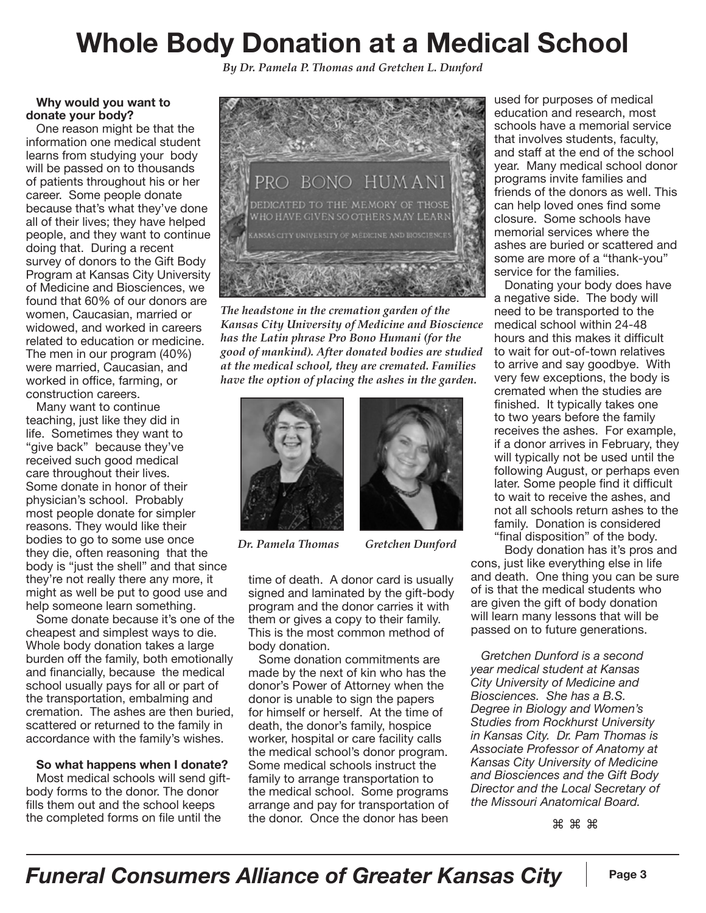# **Whole Body Donation at a Medical School**

*By Dr. Pamela P. Thomas and Gretchen L. Dunford*

#### **Why would you want to donate your body?**

One reason might be that the information one medical student learns from studying your body will be passed on to thousands of patients throughout his or her career. Some people donate because that's what they've done all of their lives; they have helped people, and they want to continue doing that. During a recent survey of donors to the Gift Body Program at Kansas City University of Medicine and Biosciences, we found that 60% of our donors are women, Caucasian, married or widowed, and worked in careers related to education or medicine. The men in our program (40%) were married, Caucasian, and worked in office, farming, or construction careers.

Many want to continue teaching, just like they did in life. Sometimes they want to "give back" because they've received such good medical care throughout their lives. Some donate in honor of their physician's school. Probably most people donate for simpler reasons. They would like their bodies to go to some use once they die, often reasoning that the body is "just the shell" and that since they're not really there any more, it might as well be put to good use and help someone learn something.

Some donate because it's one of the cheapest and simplest ways to die. Whole body donation takes a large burden off the family, both emotionally and financially, because the medical school usually pays for all or part of the transportation, embalming and cremation. The ashes are then buried, scattered or returned to the family in accordance with the family's wishes.

#### **So what happens when I donate?**

Most medical schools will send giftbody forms to the donor. The donor fills them out and the school keeps the completed forms on file until the



*The headstone in the cremation garden of the Kansas City University of Medicine and Bioscience has the Latin phrase Pro Bono Humani (for the good of mankind). After donated bodies are studied at the medical school, they are cremated. Families have the option of placing the ashes in the garden.*



*Dr. Pamela Thomas Gretchen Dunford*



time of death. A donor card is usually signed and laminated by the gift-body program and the donor carries it with them or gives a copy to their family. This is the most common method of body donation.

Some donation commitments are made by the next of kin who has the donor's Power of Attorney when the donor is unable to sign the papers for himself or herself. At the time of death, the donor's family, hospice worker, hospital or care facility calls the medical school's donor program. Some medical schools instruct the family to arrange transportation to the medical school. Some programs arrange and pay for transportation of the donor. Once the donor has been

used for purposes of medical education and research, most schools have a memorial service that involves students, faculty, and staff at the end of the school year. Many medical school donor programs invite families and friends of the donors as well. This can help loved ones find some closure. Some schools have memorial services where the ashes are buried or scattered and some are more of a "thank-you" service for the families.

Donating your body does have a negative side. The body will need to be transported to the medical school within 24-48 hours and this makes it difficult to wait for out-of-town relatives to arrive and say goodbye. With very few exceptions, the body is cremated when the studies are finished. It typically takes one to two years before the family receives the ashes. For example, if a donor arrives in February, they will typically not be used until the following August, or perhaps even later. Some people find it difficult to wait to receive the ashes, and not all schools return ashes to the family. Donation is considered "final disposition" of the body.

Body donation has it's pros and cons, just like everything else in life and death. One thing you can be sure of is that the medical students who are given the gift of body donation will learn many lessons that will be passed on to future generations.

*Gretchen Dunford is a second year medical student at Kansas City University of Medicine and Biosciences. She has a B.S. Degree in Biology and Women's Studies from Rockhurst University in Kansas City. Dr. Pam Thomas is Associate Professor of Anatomy at Kansas City University of Medicine and Biosciences and the Gift Body Director and the Local Secretary of the Missouri Anatomical Board.*

⌘⌘⌘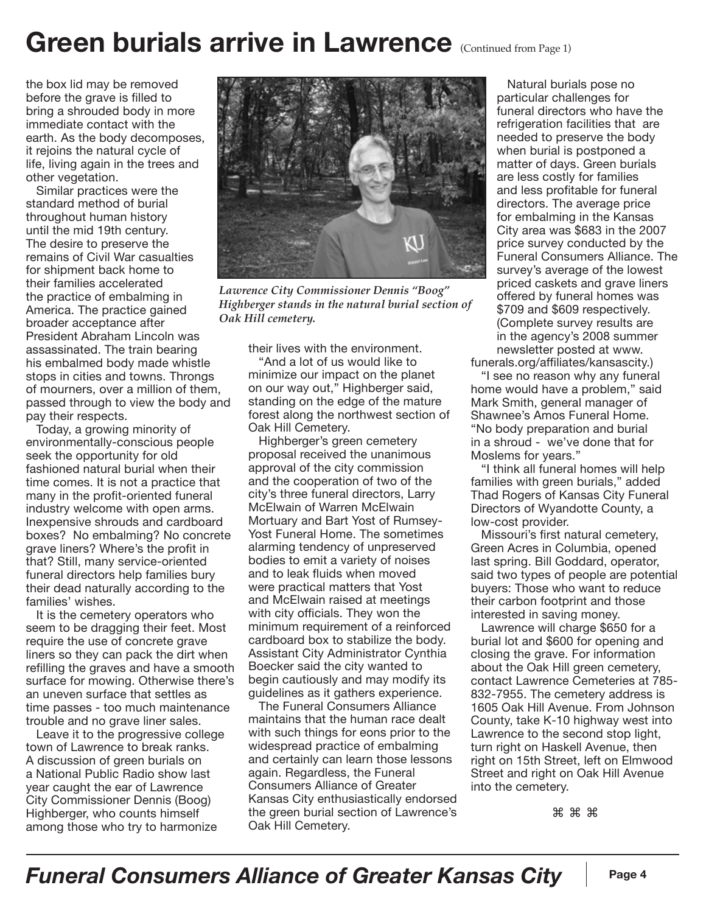## Green burials arrive in Lawrence (Continued from Page 1)

the box lid may be removed before the grave is filled to bring a shrouded body in more immediate contact with the earth. As the body decomposes, it rejoins the natural cycle of life, living again in the trees and other vegetation.

Similar practices were the standard method of burial throughout human history until the mid 19th century. The desire to preserve the remains of Civil War casualties for shipment back home to their families accelerated the practice of embalming in America. The practice gained broader acceptance after President Abraham Lincoln was assassinated. The train bearing his embalmed body made whistle stops in cities and towns. Throngs of mourners, over a million of them, passed through to view the body and pay their respects.

Today, a growing minority of environmentally-conscious people seek the opportunity for old fashioned natural burial when their time comes. It is not a practice that many in the profit-oriented funeral industry welcome with open arms. Inexpensive shrouds and cardboard boxes? No embalming? No concrete grave liners? Where's the profit in that? Still, many service-oriented funeral directors help families bury their dead naturally according to the families' wishes.

It is the cemetery operators who seem to be dragging their feet. Most require the use of concrete grave liners so they can pack the dirt when refilling the graves and have a smooth surface for mowing. Otherwise there's an uneven surface that settles as time passes - too much maintenance trouble and no grave liner sales.

Leave it to the progressive college town of Lawrence to break ranks. A discussion of green burials on a National Public Radio show last year caught the ear of Lawrence City Commissioner Dennis (Boog) Highberger, who counts himself among those who try to harmonize



*Lawrence City Commissioner Dennis "Boog" Highberger stands in the natural burial section of Oak Hill cemetery.*

their lives with the environment.

"And a lot of us would like to minimize our impact on the planet on our way out," Highberger said, standing on the edge of the mature forest along the northwest section of Oak Hill Cemetery.

Highberger's green cemetery proposal received the unanimous approval of the city commission and the cooperation of two of the city's three funeral directors, Larry McElwain of Warren McElwain Mortuary and Bart Yost of Rumsey-Yost Funeral Home. The sometimes alarming tendency of unpreserved bodies to emit a variety of noises and to leak fluids when moved were practical matters that Yost and McElwain raised at meetings with city officials. They won the minimum requirement of a reinforced cardboard box to stabilize the body. Assistant City Administrator Cynthia Boecker said the city wanted to begin cautiously and may modify its guidelines as it gathers experience.

The Funeral Consumers Alliance maintains that the human race dealt with such things for eons prior to the widespread practice of embalming and certainly can learn those lessons again. Regardless, the Funeral Consumers Alliance of Greater Kansas City enthusiastically endorsed the green burial section of Lawrence's Oak Hill Cemetery.

Natural burials pose no particular challenges for funeral directors who have the refrigeration facilities that are needed to preserve the body when burial is postponed a matter of days. Green burials are less costly for families and less profitable for funeral directors. The average price for embalming in the Kansas City area was \$683 in the 2007 price survey conducted by the Funeral Consumers Alliance. The survey's average of the lowest priced caskets and grave liners offered by funeral homes was \$709 and \$609 respectively. (Complete survey results are in the agency's 2008 summer newsletter posted at www.

funerals.org/affiliates/kansascity.) "I see no reason why any funeral home would have a problem," said Mark Smith, general manager of Shawnee's Amos Funeral Home. "No body preparation and burial in a shroud - we've done that for Moslems for years."

"I think all funeral homes will help families with green burials," added Thad Rogers of Kansas City Funeral Directors of Wyandotte County, a low-cost provider.

Missouri's first natural cemetery, Green Acres in Columbia, opened last spring. Bill Goddard, operator, said two types of people are potential buyers: Those who want to reduce their carbon footprint and those interested in saving money.

Lawrence will charge \$650 for a burial lot and \$600 for opening and closing the grave. For information about the Oak Hill green cemetery, contact Lawrence Cemeteries at 785- 832-7955. The cemetery address is 1605 Oak Hill Avenue. From Johnson County, take K-10 highway west into Lawrence to the second stop light, turn right on Haskell Avenue, then right on 15th Street, left on Elmwood Street and right on Oak Hill Avenue into the cemetery.

⌘⌘⌘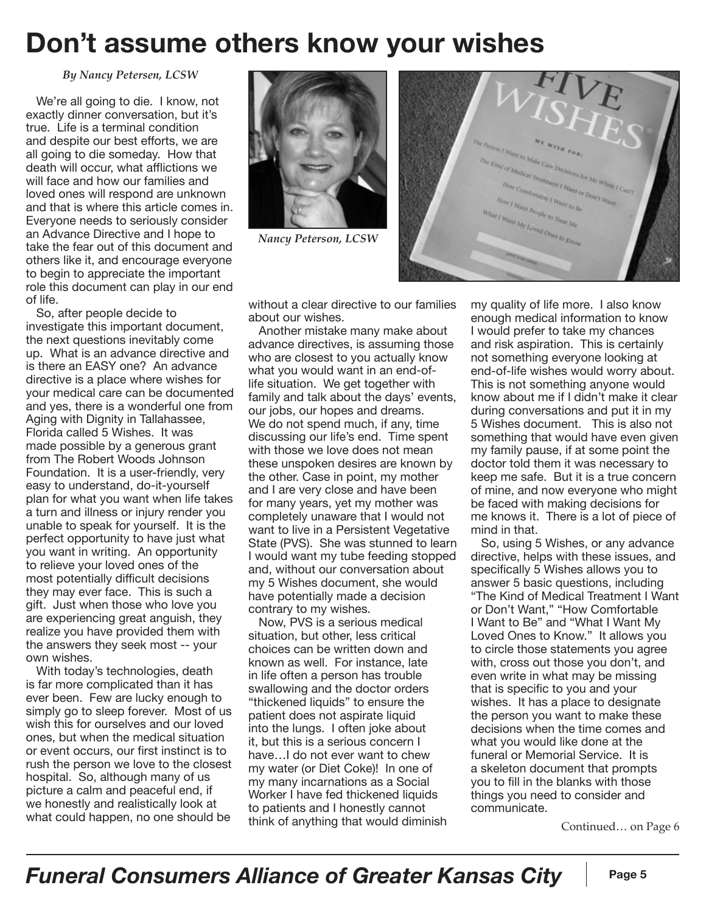## **Don't assume others know your wishes**

*By Nancy Petersen, LCSW*

We're all going to die. I know, not exactly dinner conversation, but it's true. Life is a terminal condition and despite our best efforts, we are all going to die someday. How that death will occur, what afflictions we will face and how our families and loved ones will respond are unknown and that is where this article comes in. Everyone needs to seriously consider an Advance Directive and I hope to take the fear out of this document and others like it, and encourage everyone to begin to appreciate the important role this document can play in our end of life.

So, after people decide to investigate this important document, the next questions inevitably come up. What is an advance directive and is there an EASY one? An advance directive is a place where wishes for your medical care can be documented and yes, there is a wonderful one from Aging with Dignity in Tallahassee, Florida called 5 Wishes. It was made possible by a generous grant from The Robert Woods Johnson Foundation. It is a user-friendly, very easy to understand, do-it-yourself plan for what you want when life takes a turn and illness or injury render you unable to speak for yourself. It is the perfect opportunity to have just what you want in writing. An opportunity to relieve your loved ones of the most potentially difficult decisions they may ever face. This is such a gift. Just when those who love you are experiencing great anguish, they realize you have provided them with the answers they seek most -- your own wishes.

With today's technologies, death is far more complicated than it has ever been. Few are lucky enough to simply go to sleep forever. Most of us wish this for ourselves and our loved ones, but when the medical situation or event occurs, our first instinct is to rush the person we love to the closest hospital. So, although many of us picture a calm and peaceful end, if we honestly and realistically look at what could happen, no one should be



*Nancy Peterson, LCSW*



without a clear directive to our families about our wishes.

Another mistake many make about advance directives, is assuming those who are closest to you actually know what you would want in an end-oflife situation. We get together with family and talk about the days' events, our jobs, our hopes and dreams. We do not spend much, if any, time discussing our life's end. Time spent with those we love does not mean these unspoken desires are known by the other. Case in point, my mother and I are very close and have been for many years, yet my mother was completely unaware that I would not want to live in a Persistent Vegetative State (PVS). She was stunned to learn I would want my tube feeding stopped and, without our conversation about my 5 Wishes document, she would have potentially made a decision contrary to my wishes.

Now, PVS is a serious medical situation, but other, less critical choices can be written down and known as well. For instance, late in life often a person has trouble swallowing and the doctor orders "thickened liquids" to ensure the patient does not aspirate liquid into the lungs. I often joke about it, but this is a serious concern I have…I do not ever want to chew my water (or Diet Coke)! In one of my many incarnations as a Social Worker I have fed thickened liquids to patients and I honestly cannot think of anything that would diminish my quality of life more. I also know enough medical information to know I would prefer to take my chances and risk aspiration. This is certainly not something everyone looking at end-of-life wishes would worry about. This is not something anyone would know about me if I didn't make it clear during conversations and put it in my 5 Wishes document. This is also not something that would have even given my family pause, if at some point the doctor told them it was necessary to keep me safe. But it is a true concern of mine, and now everyone who might be faced with making decisions for me knows it. There is a lot of piece of mind in that.

So, using 5 Wishes, or any advance directive, helps with these issues, and specifically 5 Wishes allows you to answer 5 basic questions, including "The Kind of Medical Treatment I Want or Don't Want," "How Comfortable I Want to Be" and "What I Want My Loved Ones to Know." It allows you to circle those statements you agree with, cross out those you don't, and even write in what may be missing that is specific to you and your wishes. It has a place to designate the person you want to make these decisions when the time comes and what you would like done at the funeral or Memorial Service. It is a skeleton document that prompts you to fill in the blanks with those things you need to consider and communicate.

Continued… on Page 6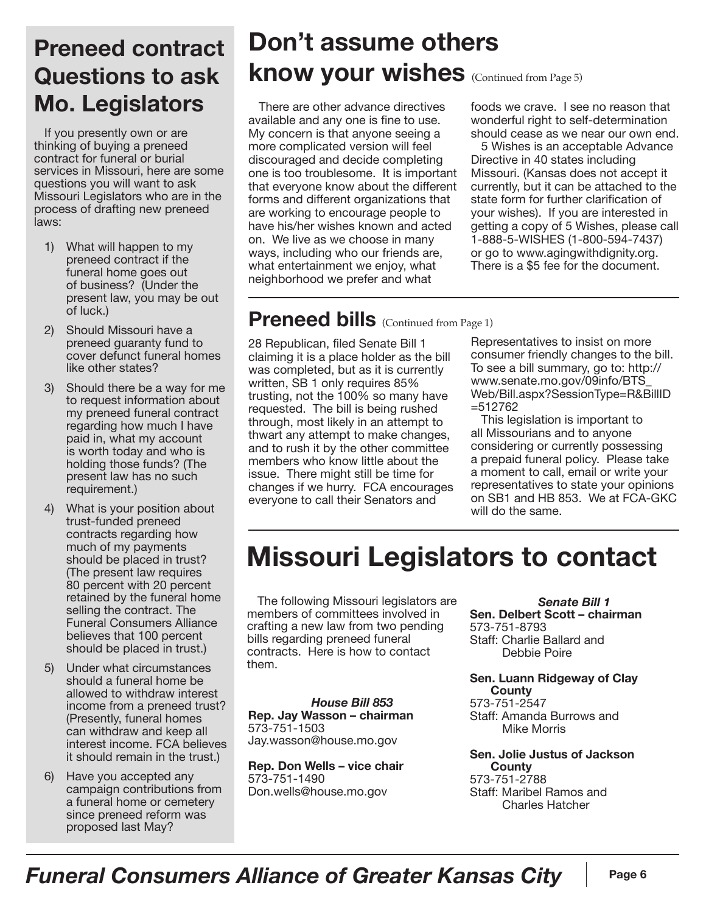### **Preneed contract Questions to ask Mo. Legislators**

If you presently own or are thinking of buying a preneed contract for funeral or burial services in Missouri, here are some questions you will want to ask Missouri Legislators who are in the process of drafting new preneed laws:

- 1) What will happen to my preneed contract if the funeral home goes out of business? (Under the present law, you may be out of luck.)
- 2) Should Missouri have a preneed guaranty fund to cover defunct funeral homes like other states?
- 3) Should there be a way for me to request information about my preneed funeral contract regarding how much I have paid in, what my account is worth today and who is holding those funds? (The present law has no such requirement.)
- 4) What is your position about trust-funded preneed contracts regarding how much of my payments should be placed in trust? (The present law requires 80 percent with 20 percent retained by the funeral home selling the contract. The Funeral Consumers Alliance believes that 100 percent should be placed in trust.)
- 5) Under what circumstances should a funeral home be allowed to withdraw interest income from a preneed trust? (Presently, funeral homes can withdraw and keep all interest income. FCA believes it should remain in the trust.)
- 6) Have you accepted any campaign contributions from a funeral home or cemetery since preneed reform was proposed last May?

### **Don't assume others know your wishes** (Continued from Page 5)

There are other advance directives available and any one is fine to use. My concern is that anyone seeing a more complicated version will feel discouraged and decide completing one is too troublesome. It is important that everyone know about the different forms and different organizations that are working to encourage people to have his/her wishes known and acted on. We live as we choose in many ways, including who our friends are, what entertainment we enjoy, what neighborhood we prefer and what

foods we crave. I see no reason that wonderful right to self-determination should cease as we near our own end.

5 Wishes is an acceptable Advance Directive in 40 states including Missouri. (Kansas does not accept it currently, but it can be attached to the state form for further clarification of your wishes). If you are interested in getting a copy of 5 Wishes, please call 1-888-5-WISHES (1-800-594-7437) or go to www.agingwithdignity.org. There is a \$5 fee for the document.

### **Preneed bills** (Continued from Page 1)

28 Republican, filed Senate Bill 1 claiming it is a place holder as the bill was completed, but as it is currently written, SB 1 only requires 85% trusting, not the 100% so many have requested. The bill is being rushed through, most likely in an attempt to thwart any attempt to make changes, and to rush it by the other committee members who know little about the issue. There might still be time for changes if we hurry. FCA encourages everyone to call their Senators and

Representatives to insist on more consumer friendly changes to the bill. To see a bill summary, go to: http:// www.senate.mo.gov/09info/BTS\_ Web/Bill.aspx?SessionType=R&BillID =512762

This legislation is important to all Missourians and to anyone considering or currently possessing a prepaid funeral policy. Please take a moment to call, email or write your representatives to state your opinions on SB1 and HB 853. We at FCA-GKC will do the same.

# **Missouri Legislators to contact**

The following Missouri legislators are members of committees involved in crafting a new law from two pending bills regarding preneed funeral contracts. Here is how to contact them.

*House Bill 853* **Rep. Jay Wasson – chairman**  573-751-1503 Jay.wasson@house.mo.gov

**Rep. Don Wells – vice chair** 573-751-1490 Don.wells@house.mo.gov

*Senate Bill 1* **Sen. Delbert Scott – chairman**  573-751-8793 Staff: Charlie Ballard and Debbie Poire

**Sen. Luann Ridgeway of Clay County** 573-751-2547 Staff: Amanda Burrows and Mike Morris

**Sen. Jolie Justus of Jackson County** 573-751-2788 Staff: Maribel Ramos and Charles Hatcher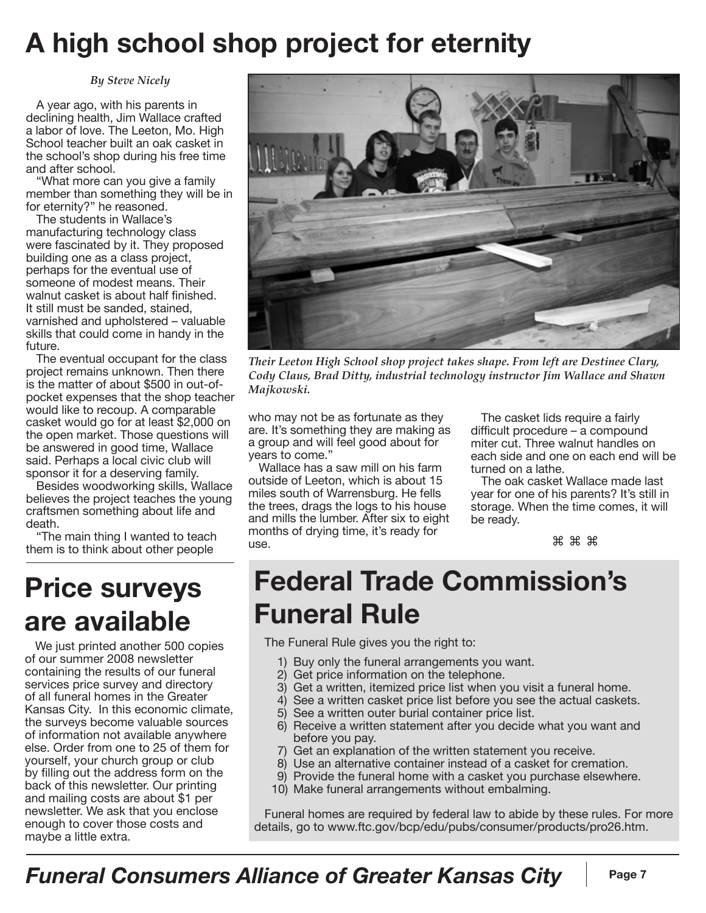# **A high school shop project for eternity**

*By Steve Nicely*

A year ago, with his parents in declining health, Jim Wallace crafted a labor of love. The Leeton, Mo. High School teacher built an oak casket in the school's shop during his free time and after school.

"What more can you give a family member than something they will be in for eternity?" he reasoned.

The students in Wallace's manufacturing technology class were fascinated by it. They proposed building one as a class project, perhaps for the eventual use of someone of modest means. Their walnut casket is about half finished. It still must be sanded, stained, varnished and upholstered – valuable skills that could come in handy in the future.

The eventual occupant for the class project remains unknown. Then there is the matter of about \$500 in out-ofpocket expenses that the shop teacher would like to recoup. A comparable casket would go for at least \$2,000 on the open market. Those questions will be answered in good time, Wallace said. Perhaps a local civic club will sponsor it for a deserving family.

Besides woodworking skills, Wallace believes the project teaches the young craftsmen something about life and death.

"The main thing I wanted to teach them is to think about other people

## **Price surveys are available**

We just printed another 500 copies of our summer 2008 newsletter containing the results of our funeral services price survey and directory of all funeral homes in the Greater Kansas City. In this economic climate, the surveys become valuable sources of information not available anywhere else. Order from one to 25 of them for yourself, your church group or club by filling out the address form on the back of this newsletter. Our printing and mailing costs are about \$1 per newsletter. We ask that you enclose enough to cover those costs and maybe a little extra.



*Their Leeton High School shop project takes shape. From left are Destinee Clary, Cody Claus, Brad Ditty, industrial technology instructor Jim Wallace and Shawn Majkowski.*

who may not be as fortunate as they are. It's something they are making as a group and will feel good about for years to come."

Wallace has a saw mill on his farm outside of Leeton, which is about 15 miles south of Warrensburg. He fells the trees, drags the logs to his house and mills the lumber. After six to eight months of drying time, it's ready for use.

The casket lids require a fairly difficult procedure – a compound miter cut. Three walnut handles on each side and one on each end will be turned on a lathe.

The oak casket Wallace made last year for one of his parents? It's still in storage. When the time comes, it will be ready.

⌘⌘⌘

# **Federal Trade Commission's Funeral Rule**

The Funeral Rule gives you the right to:

- 1) Buy only the funeral arrangements you want.
- 2) Get price information on the telephone.
- 3) Get a written, itemized price list when you visit a funeral home.
- 4) See a written casket price list before you see the actual caskets.
- 5) See a written outer burial container price list.
- 6) Receive a written statement after you decide what you want and before you pay.
- 7) Get an explanation of the written statement you receive.
- 8) Use an alternative container instead of a casket for cremation.
- 9) Provide the funeral home with a casket you purchase elsewhere.
- 10) Make funeral arrangements without embalming.

Funeral homes are required by federal law to abide by these rules. For more details, go to www.ftc.gov/bcp/edu/pubs/consumer/products/pro26.htm.